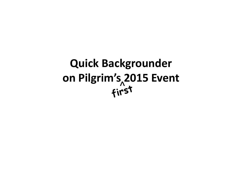**Quick Backgrounder onn Pilgrim's 2015 Event**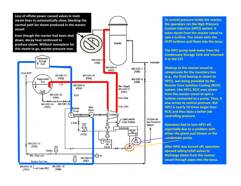

**To control pressure inside the reactor, the operators ran the High Pressure Coolant Injection (HPCI) system. It takes steam from the reactor vessel to spin a turbine. The steam exits the HCPI turbines and flows into the torus.**

**The HPCI pump took water from the Condensate Storage Tank and returned it to the CST.**

**Makeup to the reactor vessel to compensate for the inventory loss (e.g., the fluid leaving as steam to HPCI), was being provided by the Reactor Core Isolation Cooling (RCIC) system. Like HPCI, RCIC uses steam from the reactor vessel to spin a turbine connected toa pump. Thus, it also serves to control pressure. But HPCI is nearly 10 times larger than RCIC and thus does a better job controlling pressure.**

**Operators had to turn HPCI off, reportedl y due to a problem wi ht either the gland seal blower or the condensate pump.**

**After HPCI was turned off, operators opened safety/relief valves to discharge steam from the reactor vessel through pipes into the torus.**